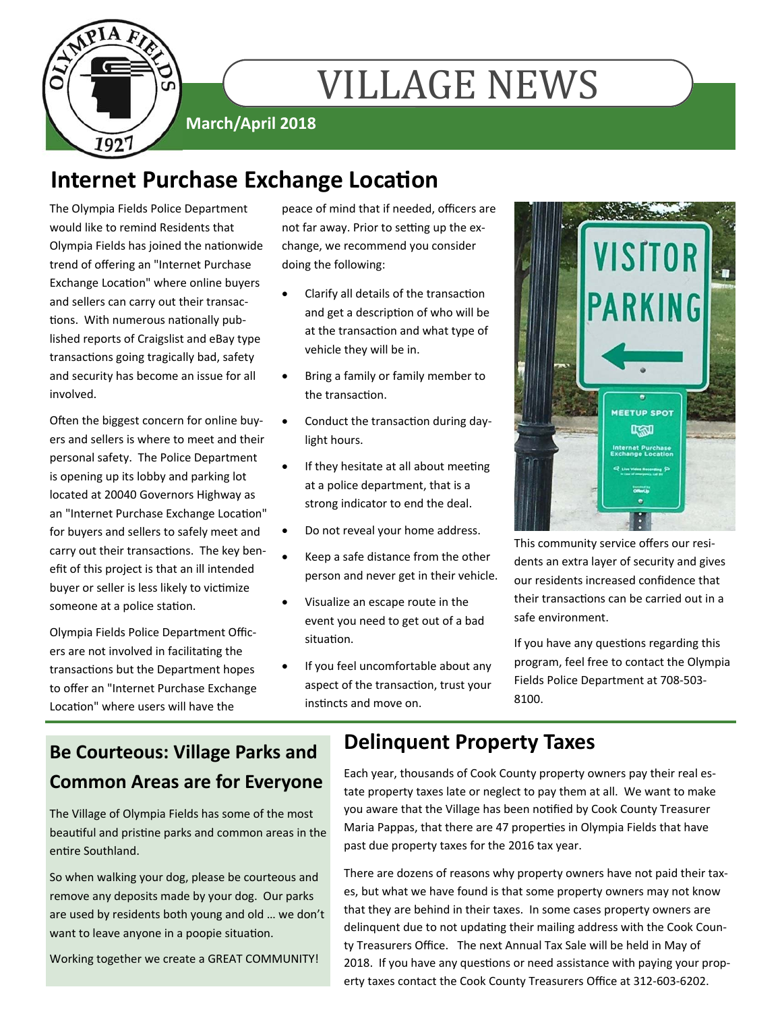

# **VILLAGE NEWS**

**March/April 2018** 

## **Internet Purchase Exchange Location**

The Olympia Fields Police Department would like to remind Residents that Olympia Fields has joined the nationwide trend of offering an "Internet Purchase Exchange Location" where online buyers and sellers can carry out their transactions. With numerous nationally published reports of Craigslist and eBay type transactions going tragically bad, safety and security has become an issue for all involved.

Often the biggest concern for online buyers and sellers is where to meet and their personal safety. The Police Department is opening up its lobby and parking lot located at 20040 Governors Highway as an "Internet Purchase Exchange Location" for buyers and sellers to safely meet and carry out their transactions. The key benefit of this project is that an ill intended buyer or seller is less likely to victimize someone at a police station.

Olympia Fields Police Department Officers are not involved in facilitating the transactions but the Department hopes to offer an "Internet Purchase Exchange Location" where users will have the

peace of mind that if needed, officers are not far away. Prior to setting up the exchange, we recommend you consider doing the following:

- Clarify all details of the transaction and get a description of who will be at the transaction and what type of vehicle they will be in.
- Bring a family or family member to the transaction.
- Conduct the transaction during daylight hours.
- If they hesitate at all about meeting at a police department, that is a strong indicator to end the deal.
- Do not reveal your home address.
- Keep a safe distance from the other person and never get in their vehicle.
- Visualize an escape route in the event you need to get out of a bad situation.
- If you feel uncomfortable about any aspect of the transaction, trust your instincts and move on.



This community service offers our residents an extra layer of security and gives our residents increased confidence that their transactions can be carried out in a safe environment.

If you have any questions regarding this program, feel free to contact the Olympia Fields Police Department at 708-503- 8100.

### **Be Courteous: Village Parks and Common Areas are for Everyone**

The Village of Olympia Fields has some of the most beautiful and pristine parks and common areas in the entire Southland.

So when walking your dog, please be courteous and remove any deposits made by your dog. Our parks are used by residents both young and old … we don't want to leave anyone in a poopie situation.

Working together we create a GREAT COMMUNITY!

### **Delinquent Property Taxes**

Each year, thousands of Cook County property owners pay their real estate property taxes late or neglect to pay them at all. We want to make you aware that the Village has been notified by Cook County Treasurer Maria Pappas, that there are 47 properties in Olympia Fields that have past due property taxes for the 2016 tax year.

There are dozens of reasons why property owners have not paid their taxes, but what we have found is that some property owners may not know that they are behind in their taxes. In some cases property owners are delinquent due to not updating their mailing address with the Cook County Treasurers Office. The next Annual Tax Sale will be held in May of 2018. If you have any questions or need assistance with paying your property taxes contact the Cook County Treasurers Office at 312-603-6202.